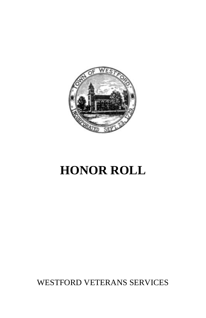

# **HONOR ROLL**

WESTFORD VETERANS SERVICES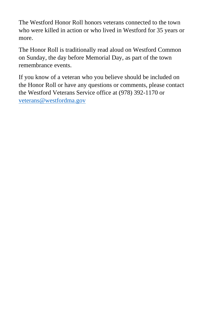The Westford Honor Roll honors veterans connected to the town who were killed in action or who lived in Westford for 35 years or more.

The Honor Roll is traditionally read aloud on Westford Common on Sunday, the day before Memorial Day, as part of the town remembrance events.

If you know of a veteran who you believe should be included on the Honor Roll or have any questions or comments, please contact the Westford Veterans Service office at (978) 392-1170 or [veterans@westfordma.gov](mailto:veterans@westfordma.gov)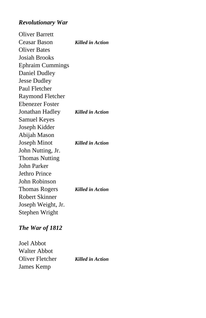## *Revolutionary War*

Oliver Barrett Ceasar Bason *Killed in Action* Oliver Bates Josiah Brooks Ephraim Cummings Daniel Dudley Jesse Dudley Paul Fletcher Raymond Fletcher Ebenezer Foster Jonathan Hadley *Killed in Action* Samuel Keyes Joseph Kidder Abijah Mason Joseph Minot *Killed in Action* John Nutting, Jr. Thomas Nutting John Parker Jethro Prince John Robinson Thomas Rogers *Killed in Action* Robert Skinner Joseph Weight, Jr. Stephen Wright

## *The War of 1812*

Joel Abbot Walter Abbot Oliver Fletcher *Killed in Action* James Kemp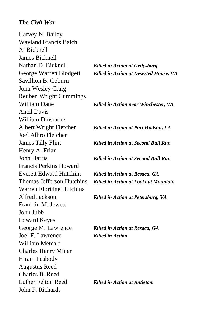### *The Civil War*

Harvey N. Bailey Wayland Francis Balch Ai Bicknell James Bicknell Nathan D. Bicknell *Killed in Action at Gettysburg* Savillion B. Coburn John Wesley Craig Reuben Wright Cummings William Dane *Killed in Action near Winchester, VA* Ancil Davis William Dinsmore Albert Wright Fletcher *Killed in Action at Port Hudson, LA* Joel Albro Fletcher James Tilly Flint *Killed in Action at Second Bull Run* Henry A. Friar John Harris *Killed in Action at Second Bull Run* Francis Perkins Howard Everett Edward Hutchins *Killed in Action at Resaca, GA* Warren Elbridge Hutchins Alfred Jackson *Killed in Action at Petersburg, VA* Franklin M. Jewett John Jubb Edward Keyes George M. Lawrence *Killed in Action at Resaca, GA* Joel F. Lawrence *Killed in Action* William Metcalf Charles Henry Miner Hiram Peabody Augustus Reed Charles B. Reed Luther Felton Reed *Killed in Action at Antietam* John F. Richards

George Warren Blodgett *Killed in Action at Deserted House, VA*

Thomas Jefferson Hutchins *Killed in Action at Lookout Mountain*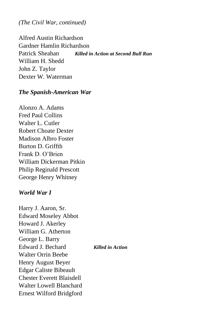*(The Civil War, continued)*

Alfred Austin Richardson Gardner Hamlin Richardson Patrick Sheahan *Killed in Action at Second Bull Run* William H. Shedd John Z. Taylor Dexter W. Waterman

#### *The Spanish-American War*

Alonzo A. Adams Fred Paul Collins Walter L. Cutler Robert Choate Dexter Madison Albro Foster Burton D. Griffth Frank D. O'Brien William Dickerman Pitkin Philip Reginald Prescott George Henry Whitney

#### *World War I*

Harry J. Aaron, Sr. Edward Moseley Abbot Howard J. Akerley William G. Atherton George L. Barry Edward J. Bechard *Killed in Action* Walter Orrin Beebe Henry August Beyer Edgar Caliste Bibeault Chester Everett Blaisdell Walter Lowell Blanchard Ernest Wilford Bridgford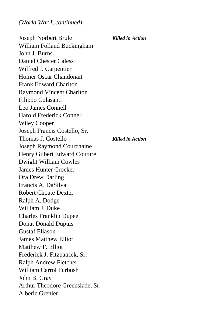Joseph Norbert Brule *Killed in Action* William Folland Buckingham John J. Burns Daniel Chester Caless Wilfred J. Carpentier Homer Oscar Chandonait Frank Edward Charlton Raymond Vincent Charlton Filippo Colasanti Leo James Connell Harold Frederick Connell Wiley Cooper Joseph Francis Costello, Sr. Thomas J. Costello *Killed in Action* Joseph Raymond Courchaine Henry Gilbert Edward Couture Dwight William Cowles James Hunter Crocker Ora Drew Darling Francis A. DaSilva Robert Choate Dexter Ralph A. Dodge William J. Duke Charles Franklin Dupee Donat Donald Dupuis Gustaf Eliason James Matthew Elliot Matthew F. Elliot Frederick J. Fitzpatrick, Sr. Ralph Andrew Fletcher William Carrol Furbush John B. Gray Arthur Theodore Greenslade, Sr. Alberic Grenier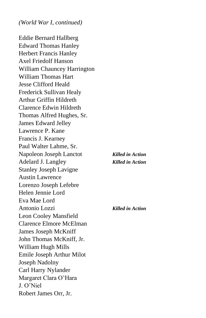Eddie Bernard Hallberg Edward Thomas Hanley Herbert Francis Hanley Axel Friedolf Hanson William Chauncey Harrington William Thomas Hart Jesse Clifford Heald Frederick Sullivan Healy Arthur Griffin Hildreth Clarence Edwin Hildreth Thomas Alfred Hughes, Sr. James Edward Jelley Lawrence P. Kane Francis J. Kearney Paul Walter Lahme, Sr. Napoleon Joseph Lanctot *Killed in Action* Adelard J. Langley *Killed in Action* Stanley Joseph Lavigne Austin Lawrence Lorenzo Joseph Lefebre Helen Jennie Lord Eva Mae Lord Antonio Lozzi *Killed in Action* Leon Cooley Mansfield Clarence Elmore McElman James Joseph McKniff John Thomas McKniff, Jr. William Hugh Mills Emile Joseph Arthur Milot Joseph Nadolny Carl Harry Nylander Margaret Clara O'Hara J. O'Niel Robert James Orr, Jr.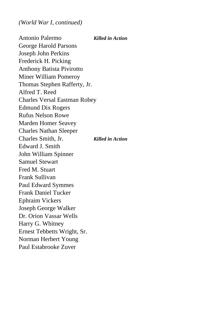Antonio Palermo *Killed in Action* George Harold Parsons Joseph John Perkins Frederick H. Picking Anthony Batista Pivirotto Miner William Pomeroy Thomas Stephen Rafferty, Jr. Alfred T. Reed Charles Versal Eastman Robey Edmund Dix Rogers Rufus Nelson Rowe Marden Homer Seavey Charles Nathan Sleeper Charles Smith, Jr. *Killed in Action* Edward J. Smith John William Spinner Samuel Stewart Fred M. Stuart Frank Sullivan Paul Edward Symmes Frank Daniel Tucker Ephraim Vickers Joseph George Walker Dr. Orion Vassar Wells Harry G. Whitney Ernest Tebbetts Wright, Sr. Norman Herbert Young Paul Estabrooke Zuver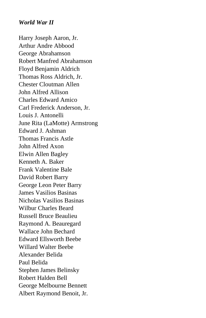## *World War II*

Harry Joseph Aaron, Jr. Arthur Andre Abbood George Abrahamson Robert Manfred Abrahamson Floyd Benjamin Aldrich Thomas Ross Aldrich, Jr. Chester Cloutman Allen John Alfred Allison Charles Edward Amico Carl Frederick Anderson, Jr. Louis J. Antonelli June Rita (LaMotte) Armstrong Edward J. Ashman Thomas Francis Astle John Alfred Axon Elwin Allen Bagley Kenneth A. Baker Frank Valentine Bale David Robert Barry George Leon Peter Barry James Vasilios Basinas Nicholas Vasilios Basinas Wilbur Charles Beard Russell Bruce Beaulieu Raymond A. Beauregard Wallace John Bechard Edward Ellsworth Beebe Willard Walter Beebe Alexander Belida Paul Belida Stephen James Belinsky Robert Halden Bell George Melbourne Bennett Albert Raymond Benoit, Jr.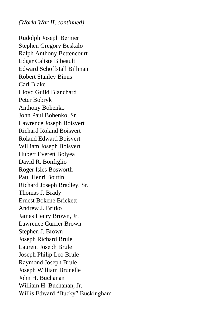Rudolph Joseph Bernier Stephen Gregory Beskalo Ralph Anthony Bettencourt Edgar Caliste Bibeault Edward Schoffstall Billman Robert Stanley Binns Carl Blake Lloyd Guild Blanchard Peter Bobryk Anthony Bohenko John Paul Bohenko, Sr. Lawrence Joseph Boisvert Richard Roland Boisvert Roland Edward Boisvert William Joseph Boisvert Hubert Everett Bolyea David R. Bonfiglio Roger Isles Bosworth Paul Henri Boutin Richard Joseph Bradley, Sr. Thomas J. Brady Ernest Bokene Brickett Andrew J. Britko James Henry Brown, Jr. Lawrence Currier Brown Stephen J. Brown Joseph Richard Brule Laurent Joseph Brule Joseph Philip Leo Brule Raymond Joseph Brule Joseph William Brunelle John H. Buchanan William H. Buchanan, Jr. Willis Edward "Bucky" Buckingham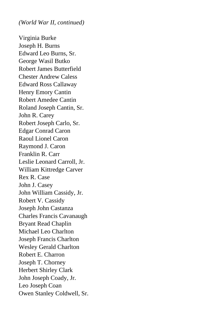Virginia Burke Joseph H. Burns Edward Leo Burns, Sr. George Wasil Butko Robert James Butterfield Chester Andrew Caless Edward Ross Callaway Henry Emory Cantin Robert Amedee Cantin Roland Joseph Cantin, Sr. John R. Carey Robert Joseph Carlo, Sr. Edgar Conrad Caron Raoul Lionel Caron Raymond J. Caron Franklin R. Carr Leslie Leonard Carroll, Jr. William Kittredge Carver Rex R. Case John J. Casey John William Cassidy, Jr. Robert V. Cassidy Joseph John Castanza Charles Francis Cavanaugh Bryant Read Chaplin Michael Leo Charlton Joseph Francis Charlton Wesley Gerald Charlton Robert E. Charron Joseph T. Chorney Herbert Shirley Clark John Joseph Coady, Jr. Leo Joseph Coan Owen Stanley Coldwell, Sr.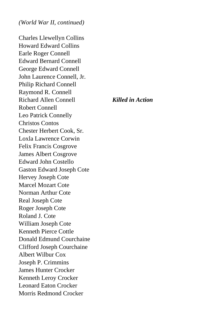Charles Llewellyn Collins Howard Edward Collins Earle Roger Connell Edward Bernard Connell George Edward Connell John Laurence Connell, Jr. Philip Richard Connell Raymond R. Connell Richard Allen Connell *Killed in Action* Robert Connell Leo Patrick Connelly Christos Contos Chester Herbert Cook, Sr. Loxla Lawrence Corwin Felix Francis Cosgrove James Albert Cosgrove Edward John Costello Gaston Edward Joseph Cote Hervey Joseph Cote Marcel Mozart Cote Norman Arthur Cote Real Joseph Cote Roger Joseph Cote Roland J. Cote William Joseph Cote Kenneth Pierce Cottle Donald Edmund Courchaine Clifford Joseph Courchaine Albert Wilbur Cox Joseph P. Crimmins James Hunter Crocker Kenneth Leroy Crocker Leonard Eaton Crocker Morris Redmond Crocker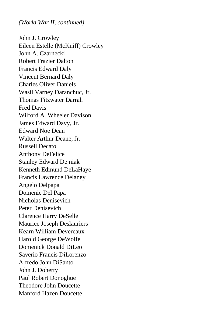John J. Crowley Eileen Estelle (McKniff) Crowley John A. Czarnecki Robert Frazier Dalton Francis Edward Daly Vincent Bernard Daly Charles Oliver Daniels Wasil Varney Daranchuc, Jr. Thomas Fitzwater Darrah Fred Davis Wilford A. Wheeler Davison James Edward Davy, Jr. Edward Noe Dean Walter Arthur Deane, Jr. Russell Decato Anthony DeFelice Stanley Edward Dejniak Kenneth Edmund DeLaHaye Francis Lawrence Delaney Angelo Delpapa Domenic Del Papa Nicholas Denisevich Peter Denisevich Clarence Harry DeSelle Maurice Joseph Deslauriers Kearn William Devereaux Harold George DeWolfe Domenick Donald DiLeo Saverio Francis DiLorenzo Alfredo John DiSanto John J. Doherty Paul Robert Donoghue Theodore John Doucette Manford Hazen Doucette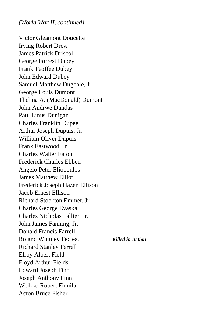Victor Gleamont Doucette Irving Robert Drew James Patrick Driscoll George Forrest Dubey Frank Teoffee Dubey John Edward Dubey Samuel Matthew Dugdale, Jr. George Louis Dumont Thelma A. (MacDonald) Dumont John Andrwe Dundas Paul Linus Dunigan Charles Franklin Dupee Arthur Joseph Dupuis, Jr. William Oliver Dupuis Frank Eastwood, Jr. Charles Walter Eaton Frederick Charles Ebben Angelo Peter Eliopoulos James Matthew Elliot Frederick Joseph Hazen Ellison Jacob Ernest Ellison Richard Stockton Emmet, Jr. Charles George Evaska Charles Nicholas Fallier, Jr. John James Fanning, Jr. Donald Francis Farrell Roland Whitney Fecteau *Killed in Action* Richard Stanley Ferrell Elroy Albert Field Floyd Arthur Fields Edward Joseph Finn Joseph Anthony Finn Weikko Robert Finnila Acton Bruce Fisher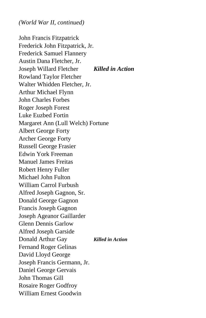John Francis Fitzpatrick Frederick John Fitzpatrick, Jr. Frederick Samuel Flannery Austin Dana Fletcher, Jr. Joseph Willard Fletcher *Killed in Action* Rowland Taylor Fletcher Walter Whidden Fletcher, Jr. Arthur Michael Flynn John Charles Forbes Roger Joseph Forest Luke Euzbed Fortin Margaret Ann (Lull Welch) Fortune Albert George Forty Archer George Forty Russell George Frasier Edwin York Freeman Manuel James Freitas Robert Henry Fuller Michael John Fulton William Carrol Furbush Alfred Joseph Gagnon, Sr. Donald George Gagnon Francis Joseph Gagnon Joseph Ageanor Gaillarder Glenn Dennis Garlow Alfred Joseph Garside Donald Arthur Gay *Killed in Action* Fernand Roger Gelinas David Lloyd George Joseph Francis Germann, Jr. Daniel George Gervais John Thomas Gill Rosaire Roger Godfroy William Ernest Goodwin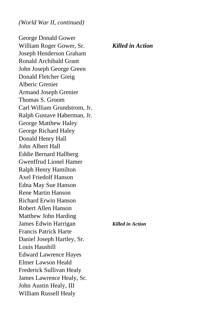George Donald Gower William Roger Gower, Sr. *Killed in Action* Joseph Henderson Graham Ronald Archibald Grant John Joseph George Green Donald Fletcher Greig Alberic Grenier Armand Joseph Grenier Thomas S. Groom Carl William Grundstrom, Jr. Ralph Gustave Haberman, Jr. George Matthew Haley George Richard Haley Donald Henry Hall John Albert Hall Eddie Bernard Hallberg Gwenffrud Lionel Hamer Ralph Henry Hamilton Axel Friedolf Hanson Edna May Sue Hanson Rene Martin Hanson Richard Erwin Hanson Robert Allen Hanson Matthew John Harding James Edwin Harrigan *Killed in Action* Francis Patrick Harte Daniel Joseph Hartley, Sr. Louis Haushill Edward Lawrence Hayes Elmer Lawson Heald Frederick Sullivan Healy James Lawrence Healy, Sr. John Austin Healy, III William Russell Healy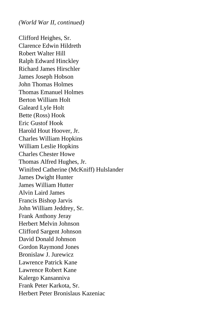Clifford Heighes, Sr. Clarence Edwin Hildreth Robert Walter Hill Ralph Edward Hinckley Richard James Hirschler James Joseph Hobson John Thomas Holmes Thomas Emanuel Holmes Berton William Holt Galeard Lyle Holt Bette (Ross) Hook Eric Gustof Hook Harold Hout Hoover, Jr. Charles William Hopkins William Leslie Hopkins Charles Chester Howe Thomas Alfred Hughes, Jr. Winifred Catherine (McKniff) Hulslander James Dwight Hunter James William Hutter Alvin Laird James Francis Bishop Jarvis John William Jeddrey, Sr. Frank Anthony Jeray Herbert Melvin Johnson Clifford Sargent Johnson David Donald Johnson Gordon Raymond Jones Bronislaw J. Jurewicz Lawrence Patrick Kane Lawrence Robert Kane Kalergo Kansanniva Frank Peter Karkota, Sr. Herbert Peter Bronislaus Kazeniac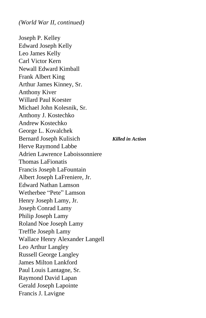Joseph P. Kelley Edward Joseph Kelly Leo James Kelly Carl Victor Kern Newall Edward Kimball Frank Albert King Arthur James Kinney, Sr. Anthony Kiver Willard Paul Koester Michael John Kolesnik, Sr. Anthony J. Kostechko Andrew Kostechko George L. Kovalchek Bernard Joseph Kulisich *Killed in Action* Herve Raymond Labbe Adrien Lawrence Laboissonniere Thomas LaFionatis Francis Joseph LaFountain Albert Joseph LaFreniere, Jr. Edward Nathan Lamson Wetherbee "Pete" Lamson Henry Joseph Lamy, Jr. Joseph Conrad Lamy Philip Joseph Lamy Roland Noe Joseph Lamy Treffle Joseph Lamy Wallace Henry Alexander Langell Leo Arthur Langley Russell George Langley James Milton Lankford Paul Louis Lantagne, Sr. Raymond David Lapan Gerald Joseph Lapointe Francis J. Lavigne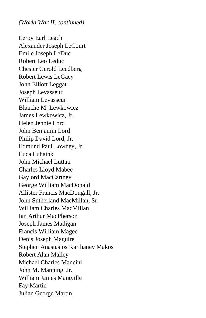Leroy Earl Leach Alexander Joseph LeCourt Emile Joseph LeDuc Robert Leo Leduc Chester Gerold Leedberg Robert Lewis LeGacy John Elliott Leggat Joseph Levasseur William Levasseur Blanche M. Lewkowicz James Lewkowicz, Jr. Helen Jennie Lord John Benjamin Lord Philip David Lord, Jr. Edmund Paul Lowney, Jr. Luca Luhaink John Michael Luttati Charles Lloyd Mabee Gaylord MacCartney George William MacDonald Allister Francis MacDougall, Jr. John Sutherland MacMillan, Sr. William Charles MacMillan Ian Arthur MacPherson Joseph James Madigan Francis William Magee Denis Joseph Maguire Stephen Anastasios Karthanev Makos Robert Alan Malley Michael Charles Mancini John M. Manning, Jr. William James Mantville Fay Martin Julian George Martin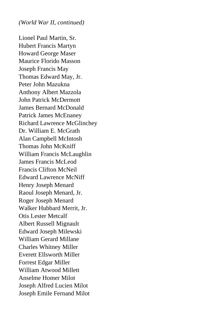Lionel Paul Martin, Sr. Hubert Francis Martyn Howard George Maser Maurice Florido Masson Joseph Francis May Thomas Edward May, Jr. Peter John Mazukna Anthony Albert Mazzola John Patrick McDermott James Bernard McDonald Patrick James McEnaney Richard Lawrence McGlinchey Dr. William E. McGrath Alan Campbell McIntosh Thomas John McKniff William Francis McLaughlin James Francis McLeod Francis Clifton McNeil Edward Lawrence McNiff Henry Joseph Menard Raoul Joseph Menard, Jr. Roger Joseph Menard Walker Hubbard Merrit, Jr. Otis Lester Metcalf Albert Russell Mignault Edward Joseph Milewski William Gerard Millane Charles Whitney Miller Everett Ellsworth Miller Forrest Edgar Miller William Atwood Millett Anselme Homer Milot Joseph Alfred Lucien Milot Joseph Emile Fernand Milot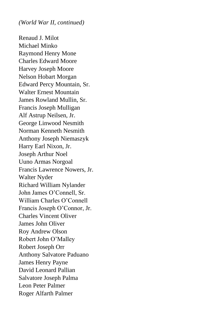Renaud J. Milot Michael Minko Raymond Henry Mone Charles Edward Moore Harvey Joseph Moore Nelson Hobart Morgan Edward Percy Mountain, Sr. Walter Ernest Mountain James Rowland Mullin, Sr. Francis Joseph Mulligan Alf Astrup Neilsen, Jr. George Linwood Nesmith Norman Kenneth Nesmith Anthony Joseph Niemaszyk Harry Earl Nixon, Jr. Joseph Arthur Noel Uuno Armas Norgoal Francis Lawrence Nowers, Jr. Walter Nyder Richard William Nylander John James O'Connell, Sr. William Charles O'Connell Francis Joseph O'Connor, Jr. Charles Vincent Oliver James John Oliver Roy Andrew Olson Robert John O'Malley Robert Joseph Orr Anthony Salvatore Paduano James Henry Payne David Leonard Pallian Salvatore Joseph Palma Leon Peter Palmer Roger Alfarth Palmer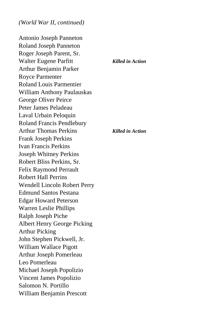Antonio Joseph Panneton Roland Joseph Panneton Roger Joseph Parent, Sr. Walter Eugene Parfitt *Killed in Action* Arthur Benjamin Parker Royce Parmenter Roland Louis Parmentier William Anthony Paulauskas George Oliver Peirce Peter James Peladeau Laval Urbain Peloquin Roland Francis Pendlebury Arthur Thomas Perkins *Killed in Action* Frank Joseph Perkins Ivan Francis Perkins Joseph Whitney Perkins Robert Bliss Perkins, Sr. Felix Raymond Perrault Robert Hall Perrins Wendell Lincoln Robert Perry Edmund Santos Pestana Edgar Howard Peterson Warren Leslie Phillips Ralph Joseph Piche Albert Henry George Picking Arthur Picking John Stephen Pickwell, Jr. William Wallace Pigott Arthur Joseph Pomerleau Leo Pomerleau Michael Joseph Popolizio Vincent James Popolizio Salomon N. Portillo William Benjamin Prescott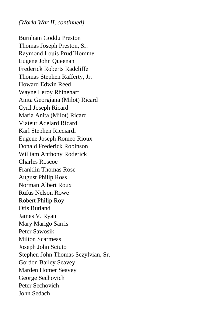Burnham Goddu Preston Thomas Joseph Preston, Sr. Raymond Louis Prud'Homme Eugene John Queenan Frederick Roberts Radcliffe Thomas Stephen Rafferty, Jr. Howard Edwin Reed Wayne Leroy Rhinehart Anita Georgiana (Milot) Ricard Cyril Joseph Ricard Maria Anita (Milot) Ricard Viateur Adelard Ricard Karl Stephen Ricciardi Eugene Joseph Romeo Rioux Donald Frederick Robinson William Anthony Roderick Charles Roscoe Franklin Thomas Rose August Philip Ross Norman Albert Roux Rufus Nelson Rowe Robert Philip Roy Otis Rutland James V. Ryan Mary Marigo Sarris Peter Sawosik Milton Scarmeas Joseph John Sciuto Stephen John Thomas Sczylvian, Sr. Gordon Bailey Seavey Marden Homer Seavey George Sechovich Peter Sechovich John Sedach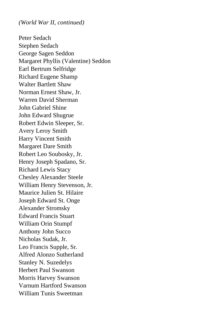Peter Sedach Stephen Sedach George Sagen Seddon Margaret Phyllis (Valentine) Seddon Earl Bertrum Selfridge Richard Eugene Shamp Walter Bartlett Shaw Norman Ernest Shaw, Jr. Warren David Sherman John Gabriel Shine John Edward Shugrue Robert Edwin Sleeper, Sr. Avery Leroy Smith Harry Vincent Smith Margaret Dare Smith Robert Leo Soubosky, Jr. Henry Joseph Spadano, Sr. Richard Lewis Stacy Chesley Alexander Steele William Henry Stevenson, Jr. Maurice Julien St. Hilaire Joseph Edward St. Onge Alexander Stromsky Edward Francis Stuart William Orin Stumpf Anthony John Succo Nicholas Sudak, Jr. Leo Francis Supple, Sr. Alfred Alonzo Sutherland Stanley N. Suzedelys Herbert Paul Swanson Morris Harvey Swanson Varnum Hartford Swanson William Tunis Sweetman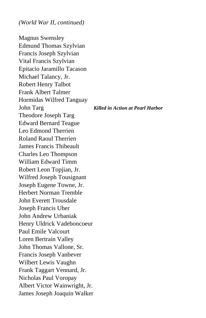Magnus Swensley Edmund Thomas Szylvian Francis Joseph Szylvian Vital Francis Szylvian Epitacio Jaramillo Tacason Michael Talancy, Jr. Robert Henry Talbot Frank Albert Talmer Hormidas Wilfred Tanguay John Targ *Killed in Action at Pearl Harbor* Theodore Joseph Targ Edward Bernard Teague Leo Edmond Therrien Roland Raoul Therrien James Francis Thibeault Charles Leo Thompson William Edward Timm Robert Leon Topjian, Jr. Wilfred Joseph Tousignant Joseph Eugene Towne, Jr. Herbert Norman Tremble John Everett Trousdale Joseph Francis Uher John Andrew Urbaniak Henry Uldrick Vadeboncoeur Paul Emile Valcourt Loren Bertrain Valley John Thomas Vallone, Sr. Francis Joseph Vanbever Wilbert Lewis Vaughn Frank Taggart Vennard, Jr. Nicholas Paul Voropay Albert Victor Wainwright, Jr. James Joseph Joaquin Walker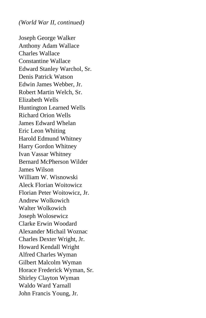Joseph George Walker Anthony Adam Wallace Charles Wallace Constantine Wallace Edward Stanley Warchol, Sr. Denis Patrick Watson Edwin James Webber, Jr. Robert Martin Welch, Sr. Elizabeth Wells Huntington Learned Wells Richard Orion Wells James Edward Whelan Eric Leon Whiting Harold Edmund Whitney Harry Gordon Whitney Ivan Vassar Whitney Bernard McPherson Wilder James Wilson William W. Wisnowski Aleck Florian Woitowicz Florian Peter Woitowicz, Jr. Andrew Wolkowich Walter Wolkowich Joseph Wolosewicz Clarke Erwin Woodard Alexander Michail Woznac Charles Dexter Wright, Jr. Howard Kendall Wright Alfred Charles Wyman Gilbert Malcolm Wyman Horace Frederick Wyman, Sr. Shirley Clayton Wyman Waldo Ward Yarnall John Francis Young, Jr.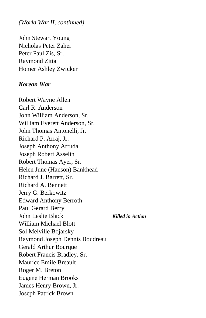John Stewart Young Nicholas Peter Zaher Peter Paul Zis, Sr. Raymond Zitta Homer Ashley Zwicker

#### *Korean War*

Robert Wayne Allen Carl R. Anderson John William Anderson, Sr. William Everett Anderson, Sr. John Thomas Antonelli, Jr. Richard P. Arraj, Jr. Joseph Anthony Arruda Joseph Robert Asselin Robert Thomas Ayer, Sr. Helen June (Hanson) Bankhead Richard J. Barrett, Sr. Richard A. Bennett Jerry G. Berkowitz Edward Anthony Berroth Paul Gerard Berry John Leslie Black *Killed in Action* William Michael Blott Sol Melville Bojarsky Raymond Joseph Dennis Boudreau Gerald Arthur Bourque Robert Francis Bradley, Sr. Maurice Emile Breault Roger M. Breton Eugene Herman Brooks James Henry Brown, Jr. Joseph Patrick Brown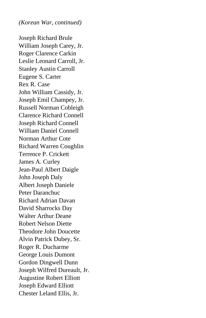Joseph Richard Brule William Joseph Carey, Jr. Roger Clarence Carkin Leslie Leonard Carroll, Jr. Stanley Austin Carroll Eugene S. Carter Rex R. Case John William Cassidy, Jr. Joseph Emil Champey, Jr. Russell Norman Cobleigh Clarence Richard Connell Joseph Richard Connell William Daniel Connell Norman Arthur Cote Richard Warren Coughlin Terrence P. Crickett James A. Curley Jean-Paul Albert Daigle John Joseph Daly Albert Joseph Daniele Peter Daranchuc Richard Adrian Davan David Sharrocks Day Walter Arthur Deane Robert Nelson Diette Theodore John Doucette Alvin Patrick Dubey, Sr. Roger R. Ducharme George Louis Dumont Gordon Dingwell Dunn Joseph Wilfred Dureault, Jr. Augustine Robert Elliott Joseph Edward Elliott Chester Leland Ellis, Jr.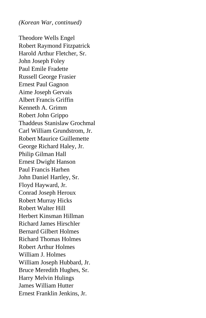Theodore Wells Engel Robert Raymond Fitzpatrick Harold Arthur Fletcher, Sr. John Joseph Foley Paul Emile Fradette Russell George Frasier Ernest Paul Gagnon Aime Joseph Gervais Albert Francis Griffin Kenneth A. Grimm Robert John Grippo Thaddeus Stanislaw Grochmal Carl William Grundstrom, Jr. Robert Maurice Guillemette George Richard Haley, Jr. Philip Gilman Hall Ernest Dwight Hanson Paul Francis Harhen John Daniel Hartley, Sr. Floyd Hayward, Jr. Conrad Joseph Heroux Robert Murray Hicks Robert Walter Hill Herbert Kinsman Hillman Richard James Hirschler Bernard Gilbert Holmes Richard Thomas Holmes Robert Arthur Holmes William J. Holmes William Joseph Hubbard, Jr. Bruce Meredith Hughes, Sr. Harry Melvin Hulings James William Hutter Ernest Franklin Jenkins, Jr.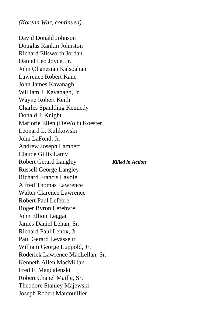David Donald Johnson Douglas Rankin Johnston Richard Ellsworth Jordan Daniel Leo Joyce, Jr. John Ohanesian Kalsoahan Lawrence Robert Kane John James Kavanagh William J. Kavanagh, Jr. Wayne Robert Keith Charles Spaulding Kennedy Donald J. Knight Marjorie Ellen (DeWolf) Koester Leonard L. Kulikowski John LaFond, Jr. Andrew Joseph Lambert Claude Gillis Lamy Robert Gerard Langley *Killed in Action* Russell George Langley Richard Francis Lavoie Alfred Thomas Lawrence Walter Clarence Lawrence Robert Paul Lefebre Roger Byron Lefebvre John Elliott Leggat James Daniel Lehan, Sr. Richard Paul Lenox, Jr. Paul Gerard Levasseur William George Luppold, Jr. Roderick Lawrence MacLellan, Sr. Kenneth Allen MacMillan Fred F. Magdalenski Robert Chanel Maille, Sr. Theodore Stanley Majewski Joseph Robert Marcouillier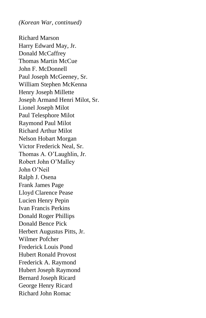Richard Marson Harry Edward May, Jr. Donald McCaffrey Thomas Martin McCue John F. McDonnell Paul Joseph McGeeney, Sr. William Stephen McKenna Henry Joseph Millette Joseph Armand Henri Milot, Sr. Lionel Joseph Milot Paul Telesphore Milot Raymond Paul Milot Richard Arthur Milot Nelson Hobart Morgan Victor Frederick Neal, Sr. Thomas A. O'Laughlin, Jr. Robert John O'Malley John O'Neil Ralph J. Osena Frank James Page Lloyd Clarence Pease Lucien Henry Pepin Ivan Francis Perkins Donald Roger Phillips Donald Bence Pick Herbert Augustus Pitts, Jr. Wilmer Pofcher Frederick Louis Pond Hubert Ronald Provost Frederick A. Raymond Hubert Joseph Raymond Bernard Joseph Ricard George Henry Ricard Richard John Romac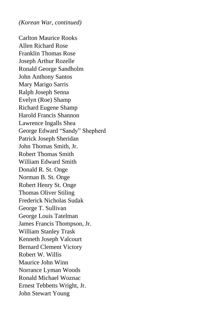Carlton Maurice Rooks Allen Richard Rose Franklin Thomas Rose Joseph Arthur Rozelle Ronald George Sandholm John Anthony Santos Mary Marigo Sarris Ralph Joseph Senna Evelyn (Roe) Shamp Richard Eugene Shamp Harold Francis Shannon Lawrence Ingalls Shea George Edward "Sandy" Shepherd Patrick Joseph Sheridan John Thomas Smith, Jr. Robert Thomas Smith William Edward Smith Donald R. St. Onge Norman B. St. Onge Robert Henry St. Onge Thomas Oliver Stiling Frederick Nicholas Sudak George T. Sullivan George Louis Tatelman James Francis Thompson, Jr. William Stanley Trask Kenneth Joseph Valcourt Bernard Clement Victory Robert W. Willis Maurice John Winn Norrance Lyman Woods Ronald Michael Woznac Ernest Tebbetts Wright, Jr. John Stewart Young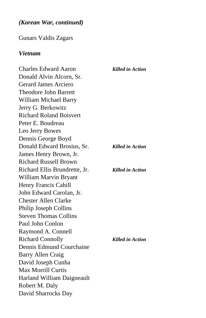Gunars Valdis Zagars

#### *Vietnam*

Charles Edward Aaron *Killed in Action* Donald Alvin Alcorn, Sr. Gerard James Arciero Theodore John Barrett William Michael Barry Jerry G. Berkowitz Richard Roland Boisvert Peter E. Boudreau Leo Jerry Bowes Dennis George Boyd Donald Edward Brosius, Sr. *Killed in Action* James Henry Brown, Jr. Richard Russell Brown Richard Ellis Brundrette, Jr. *Killed in Action* William Marvin Bryant Henry Francis Cahill John Edward Carolan, Jr. Chester Allen Clarke Philip Joseph Collins Steven Thomas Collins Paul John Conlon Raymond A. Connell Richard Connolly *Killed in Action* Dennis Edmund Courchaine Barry Allen Craig David Joseph Cunha Max Morrill Curtis Harland William Daigneault Robert M. Daly David Sharrocks Day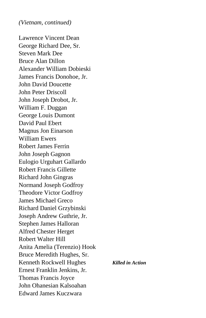*(Vietnam, continued)*

Lawrence Vincent Dean George Richard Dee, Sr. Steven Mark Dee Bruce Alan Dillon Alexander William Dobieski James Francis Donohoe, Jr. John David Doucette John Peter Driscoll John Joseph Drobot, Jr. William F. Duggan George Louis Dumont David Paul Ebert Magnus Jon Einarson William Ewers Robert James Ferrin John Joseph Gagnon Eulogio Urguhart Gallardo Robert Francis Gillette Richard John Gingras Normand Joseph Godfroy Theodore Victor Godfroy James Michael Greco Richard Daniel Grzybinski Joseph Andrew Guthrie, Jr. Stephen James Halloran Alfred Chester Herget Robert Walter Hill Anita Amelia (Terenzio) Hook Bruce Meredith Hughes, Sr. Kenneth Rockwell Hughes *Killed in Action* Ernest Franklin Jenkins, Jr. Thomas Francis Joyce John Ohanesian Kalsoahan Edward James Kuczwara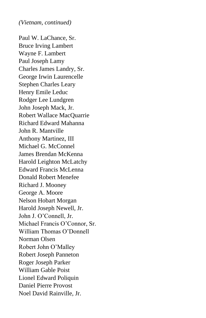*(Vietnam, continued)*

Paul W. LaChance, Sr. Bruce Irving Lambert Wayne F. Lambert Paul Joseph Lamy Charles James Landry, Sr. George Irwin Laurencelle Stephen Charles Leary Henry Emile Leduc Rodger Lee Lundgren John Joseph Mack, Jr. Robert Wallace MacQuarrie Richard Edward Mahanna John R. Mantville Anthony Martinez, III Michael G. McConnel James Brendan McKenna Harold Leighton McLatchy Edward Francis McLenna Donald Robert Menefee Richard J. Mooney George A. Moore Nelson Hobart Morgan Harold Joseph Newell, Jr. John J. O'Connell, Jr. Michael Francis O'Connor, Sr. William Thomas O'Donnell Norman Olsen Robert John O'Malley Robert Joseph Panneton Roger Joseph Parker William Gable Poist Lionel Edward Poliquin Daniel Pierre Provost Noel David Rainville, Jr.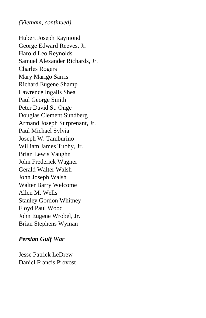*(Vietnam, continued)*

Hubert Joseph Raymond George Edward Reeves, Jr. Harold Leo Reynolds Samuel Alexander Richards, Jr. Charles Rogers Mary Marigo Sarris Richard Eugene Shamp Lawrence Ingalls Shea Paul George Smith Peter David St. Onge Douglas Clement Sundberg Armand Joseph Surprenant, Jr. Paul Michael Sylvia Joseph W. Tamburino William James Tuohy, Jr. Brian Lewis Vaughn John Frederick Wagner Gerald Walter Walsh John Joseph Walsh Walter Barry Welcome Allen M. Wells Stanley Gordon Whitney Floyd Paul Wood John Eugene Wrobel, Jr. Brian Stephens Wyman

## *Persian Gulf War*

Jesse Patrick LeDrew Daniel Francis Provost